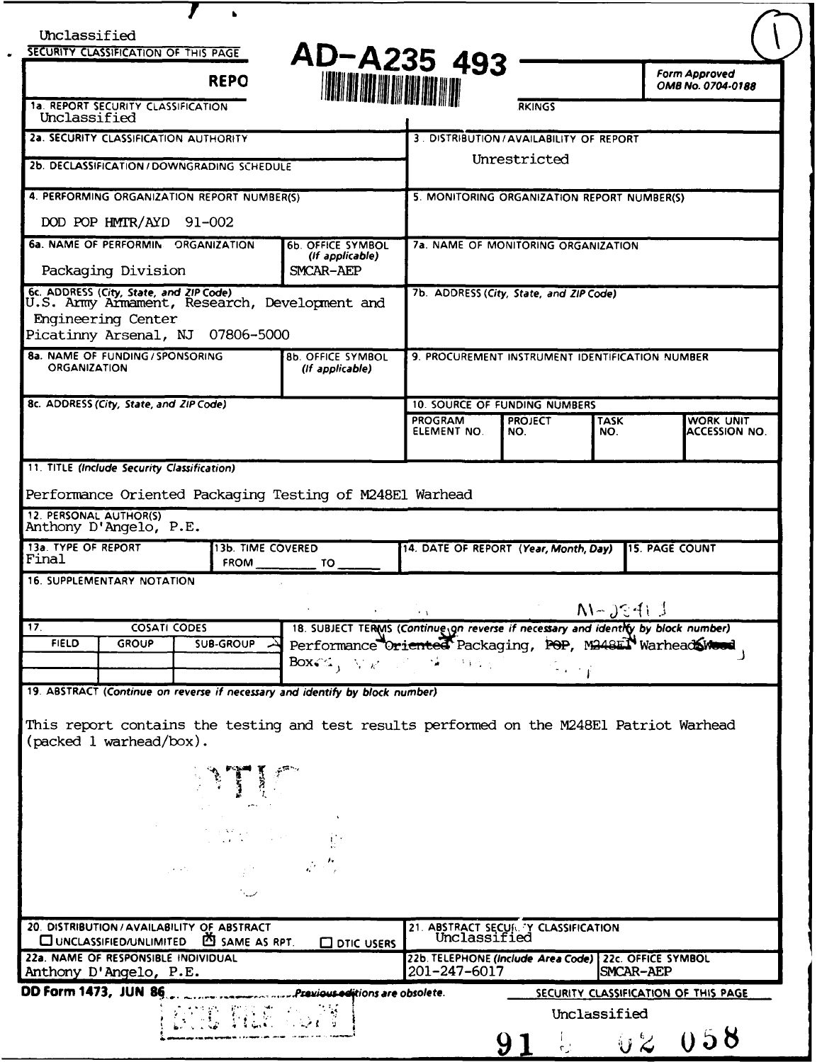|                                                                                                                            |                                                                                                   |                | SECURITY CLASSIFICATION OF THIS PAGE<br><b>REPO</b>                                                                                                                                                                                                                                                                                                    | AD-A235 493<br><b>HOURS AND SET AND SET</b>                                                                                                                                                                                     |                                                                       |                       |                    |                       | Form Approved<br>OMB No. 0704-0188 |
|----------------------------------------------------------------------------------------------------------------------------|---------------------------------------------------------------------------------------------------|----------------|--------------------------------------------------------------------------------------------------------------------------------------------------------------------------------------------------------------------------------------------------------------------------------------------------------------------------------------------------------|---------------------------------------------------------------------------------------------------------------------------------------------------------------------------------------------------------------------------------|-----------------------------------------------------------------------|-----------------------|--------------------|-----------------------|------------------------------------|
| Unclassified                                                                                                               | 1a. REPORT SECURITY CLASSIFICATION                                                                |                |                                                                                                                                                                                                                                                                                                                                                        |                                                                                                                                                                                                                                 |                                                                       | <b>RKINGS</b>         |                    |                       |                                    |
| <b>2a. SECURITY CLASSIFICATION AUTHORITY</b>                                                                               |                                                                                                   |                |                                                                                                                                                                                                                                                                                                                                                        |                                                                                                                                                                                                                                 | 3. DISTRIBUTION / AVAILABILITY OF REPORT                              |                       |                    |                       |                                    |
| 2b. DECLASSIFICATION / DOWNGRADING SCHEDULE                                                                                |                                                                                                   |                |                                                                                                                                                                                                                                                                                                                                                        |                                                                                                                                                                                                                                 | Unrestricted                                                          |                       |                    |                       |                                    |
|                                                                                                                            | 4. PERFORMING ORGANIZATION REPORT NUMBER(S)                                                       |                |                                                                                                                                                                                                                                                                                                                                                        |                                                                                                                                                                                                                                 | 5. MONITORING ORGANIZATION REPORT NUMBER(S)                           |                       |                    |                       |                                    |
|                                                                                                                            | DOD POP HMTR/AYD 91-002                                                                           |                |                                                                                                                                                                                                                                                                                                                                                        |                                                                                                                                                                                                                                 |                                                                       |                       |                    |                       |                                    |
|                                                                                                                            | 6a. NAME OF PERFORMIN ORGANIZATION<br>Packaging Division                                          |                |                                                                                                                                                                                                                                                                                                                                                        | <b>6b. OFFICE SYMBOL</b><br>(If applicable)                                                                                                                                                                                     | 7a. NAME OF MONITORING ORGANIZATION                                   |                       |                    |                       |                                    |
|                                                                                                                            |                                                                                                   |                |                                                                                                                                                                                                                                                                                                                                                        | SMCAR-AEP                                                                                                                                                                                                                       | 7b. ADDRESS (City, State, and ZIP Code)                               |                       |                    |                       |                                    |
|                                                                                                                            | Engineering Center<br>Picatinny Arsenal, NJ 07806-5000                                            |                |                                                                                                                                                                                                                                                                                                                                                        | 6c. ADDRESS (City, State, and ZIP Code)<br>U.S. Army Armament, Research, Development and                                                                                                                                        |                                                                       |                       |                    |                       |                                    |
| 8a. NAME OF FUNDING / SPONSORING<br>8b. OFFICE SYMBOL<br><b>ORGANIZATION</b><br>(If applicable)                            |                                                                                                   |                |                                                                                                                                                                                                                                                                                                                                                        |                                                                                                                                                                                                                                 | 9. PROCUREMENT INSTRUMENT IDENTIFICATION NUMBER                       |                       |                    |                       |                                    |
|                                                                                                                            | 8c. ADDRESS (City, State, and ZIP Code)                                                           |                |                                                                                                                                                                                                                                                                                                                                                        |                                                                                                                                                                                                                                 | <b>10. SOURCE OF FUNDING NUMBERS</b>                                  |                       |                    |                       |                                    |
|                                                                                                                            |                                                                                                   |                |                                                                                                                                                                                                                                                                                                                                                        |                                                                                                                                                                                                                                 | <b>PROGRAM</b><br>ELEMENT NO.                                         | <b>PROJECT</b><br>NO. | <b>TASK</b><br>NO. |                       | <b>WORK UNIT</b><br>ACCESSION NO.  |
|                                                                                                                            |                                                                                                   |                |                                                                                                                                                                                                                                                                                                                                                        |                                                                                                                                                                                                                                 |                                                                       |                       |                    |                       |                                    |
|                                                                                                                            |                                                                                                   |                |                                                                                                                                                                                                                                                                                                                                                        |                                                                                                                                                                                                                                 |                                                                       |                       |                    |                       |                                    |
|                                                                                                                            |                                                                                                   |                |                                                                                                                                                                                                                                                                                                                                                        |                                                                                                                                                                                                                                 |                                                                       |                       |                    |                       |                                    |
|                                                                                                                            |                                                                                                   |                |                                                                                                                                                                                                                                                                                                                                                        | Performance Oriented Packaging Testing of M248El Warhead                                                                                                                                                                        |                                                                       |                       |                    |                       |                                    |
|                                                                                                                            | Anthony D'Angelo, P.E.                                                                            |                |                                                                                                                                                                                                                                                                                                                                                        |                                                                                                                                                                                                                                 |                                                                       |                       |                    |                       |                                    |
|                                                                                                                            |                                                                                                   |                | 13b. TIME COVERED<br><b>FROM</b>                                                                                                                                                                                                                                                                                                                       | TO                                                                                                                                                                                                                              | 14. DATE OF REPORT (Year, Month, Day)                                 |                       |                    | <b>15. PAGE COUNT</b> |                                    |
|                                                                                                                            | <b>16. SUPPLEMENTARY NOTATION</b>                                                                 |                |                                                                                                                                                                                                                                                                                                                                                        |                                                                                                                                                                                                                                 |                                                                       |                       |                    |                       |                                    |
|                                                                                                                            |                                                                                                   |                |                                                                                                                                                                                                                                                                                                                                                        |                                                                                                                                                                                                                                 |                                                                       |                       | $N-\sqrt{2413}$    |                       |                                    |
|                                                                                                                            | <b>COSATI CODES</b>                                                                               |                |                                                                                                                                                                                                                                                                                                                                                        | 18. SUBJECT TERMS (Continue on reverse if necessary and identity by block number)                                                                                                                                               |                                                                       |                       |                    |                       |                                    |
| <b>FIELD</b>                                                                                                               | <b>GROUP</b>                                                                                      |                | <b>SUB-GROUP</b>                                                                                                                                                                                                                                                                                                                                       | Performance Oriented Packaging, POP, M248EN Warhead Sweed                                                                                                                                                                       |                                                                       |                       |                    |                       |                                    |
|                                                                                                                            |                                                                                                   |                |                                                                                                                                                                                                                                                                                                                                                        | $\text{Box}(\mathbb{M}_{\text{A}} \setminus \nabla_{\mathbb{K}} \mathbb{M}_{\text{A}}) \cong \mathbb{M}_{\text{A}} \cong \mathbb{M}_{\text{A}}$<br>19. ABSTRACT (Continue on reverse if necessary and identify by block number) |                                                                       |                       |                    |                       |                                    |
| 11. TITLE (Include Security Classification)<br>12. PERSONAL AUTHOR(S)<br>13a. TYPE OF REPORT<br>Final<br>$\overline{17}$ . | $(\text{packet } 1 \text{ warhead} / \text{box}).$                                                |                |                                                                                                                                                                                                                                                                                                                                                        | This report contains the testing and test results performed on the M248El Patriot Warhead                                                                                                                                       |                                                                       |                       |                    |                       |                                    |
|                                                                                                                            |                                                                                                   |                |                                                                                                                                                                                                                                                                                                                                                        |                                                                                                                                                                                                                                 |                                                                       |                       |                    |                       |                                    |
|                                                                                                                            |                                                                                                   |                | $\label{eq:2} \frac{1}{2}\sum_{i=1}^{N-1} \frac{1}{2} \sum_{i=1}^{N-1} \frac{1}{2} \sum_{i=1}^{N-1} \frac{1}{2} \sum_{i=1}^{N-1} \frac{1}{2} \sum_{i=1}^{N-1} \frac{1}{2} \sum_{i=1}^{N-1} \frac{1}{2} \sum_{i=1}^{N-1} \frac{1}{2} \sum_{i=1}^{N-1} \frac{1}{2} \sum_{i=1}^{N-1} \frac{1}{2} \sum_{i=1}^{N-1} \frac{1}{2} \sum_{i=1}^{N-1} \frac{1}{$ |                                                                                                                                                                                                                                 |                                                                       |                       |                    |                       |                                    |
|                                                                                                                            |                                                                                                   | $\alpha = 1.1$ |                                                                                                                                                                                                                                                                                                                                                        | and and the second second in the second second in the second second in the second second in the second second in the second second in the second second second in the second second second in the second second second second   |                                                                       |                       |                    |                       |                                    |
|                                                                                                                            | 20. DISTRIBUTION / AVAILABILITY OF ABSTRACT<br>CUNCLASSIFIED/UNLIMITED <sup>29</sup> SAME AS RPT. |                |                                                                                                                                                                                                                                                                                                                                                        | <b>O DTIC USERS</b>                                                                                                                                                                                                             | 21. ABSTRACT SECURITY CLASSIFICATION<br>Unclassified                  |                       |                    |                       |                                    |
|                                                                                                                            | 22a. NAME OF RESPONSIBLE INDIVIDUAL<br>Anthony D'Angelo, P.E.                                     |                |                                                                                                                                                                                                                                                                                                                                                        |                                                                                                                                                                                                                                 | 22b. TELEPHONE (include Area Code) 22c. OFFICE SYMBOL<br>201-247-6017 |                       |                    | SMCAR-AEP             |                                    |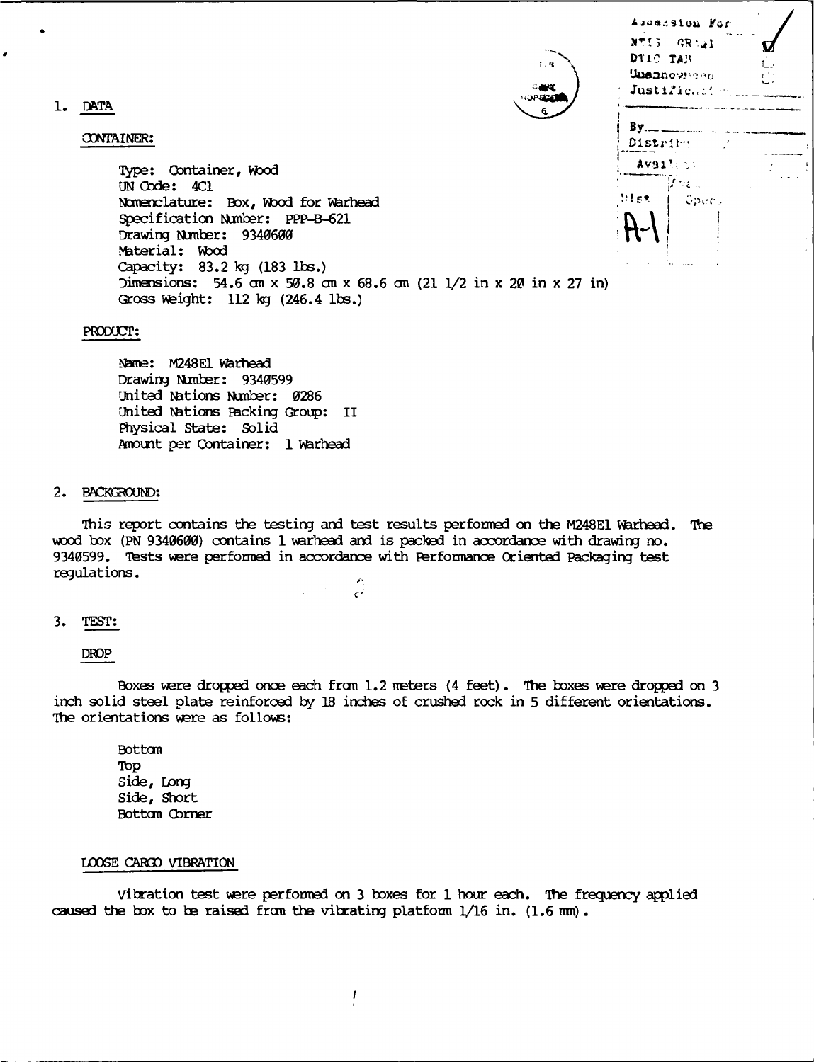1. DATA

### CONTAINER:

| Type: Container, Wood                                                                                        |               |
|--------------------------------------------------------------------------------------------------------------|---------------|
| UN Code: 4C1<br>Nomenclature: Box, Wood for Warhead                                                          | ∴fs           |
| Specification Number: PPP-B-621                                                                              | $\mathcal{A}$ |
| Drawing Number: 9340600<br>Material: Wood                                                                    |               |
| Capacity: 83.2 kg (183 lbs.)                                                                                 |               |
| Dimensions: 54.6 cm x 50.8 cm x 68.6 cm (21 1/2 in x 20 in x 27 in)<br>Gross Weight: $112$ kg $(246.4$ lbs.) |               |

### PRODUCT:

**Nme:** M248EI **Warhead** Drawing Number: 9340599 United Nations Number: 0286 United Nations Packing Group: II Physical State: Solid Amount per Container: 1 Warhead

### **2. BAKRON:**

This report contains the testing and test results performed on the M248E1 Warhead. Ite wod box (PN 9340600) contains 1 warhead and is packed in accordance with drawing no. 9340599. Tests were performed in accordance with Performance Oriented Packaging test regulations.

 $\epsilon^2$ 

### 3. TEST:

DROP

Boxes were dropped once each from 1.2 meters (4 feet). The boxes were dropped on 3 inch solid steel plate reinforced **by** 18 inches of crushed rock in 5 different orientations. The orientations were as follows:

Botton TOp Side, Long Side, Short Bottom Corner

## **LOOSE** CAR3D VIBRATION

Vibration test were performed on **3** boxes for 1 hour each. The frequency applied caused the box to be raised from the vibrating platform  $1/16$  in. (1.6 mm).

Ascession For NTIS GRAAL **,j DTI C** TAI, Unanoweed Justificant. <u> Ву. — -</u>  $\overline{a}$  and  $\overline{a}$ Distribut Availet:  $\mu_{\nu\epsilon}$  . itet. Gpeel.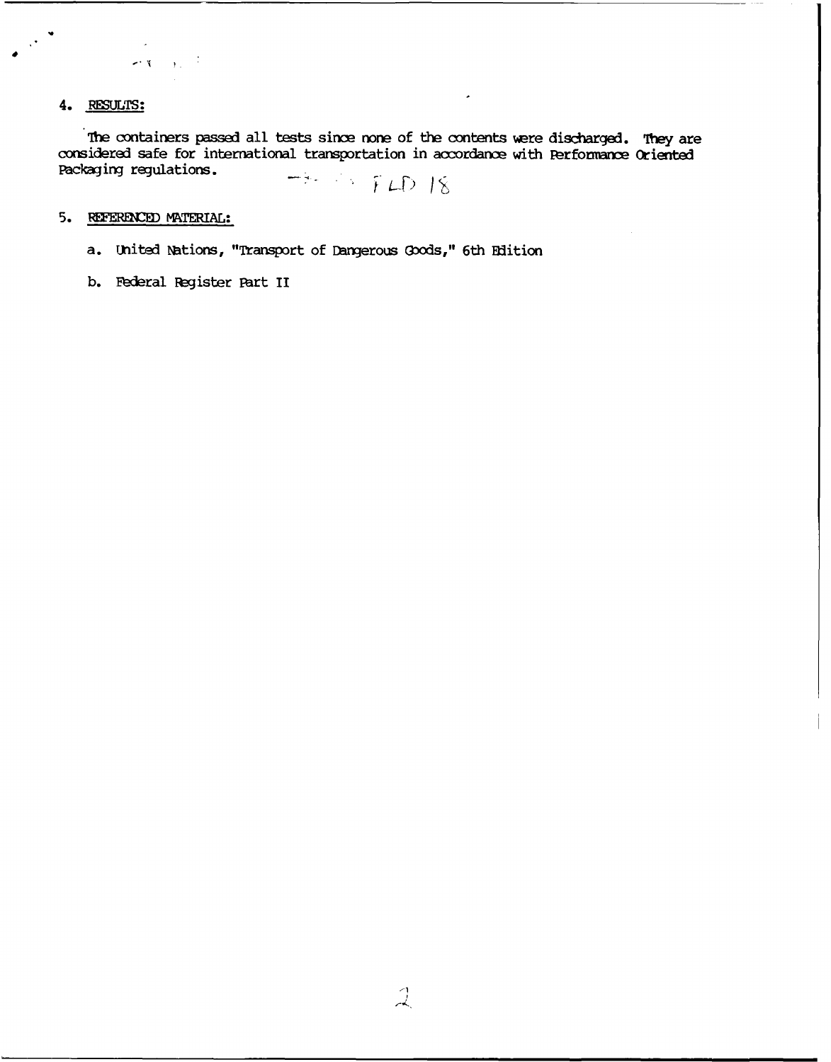# 4. **RESULTS:**

**The** containers passed all tests since **none** of **the** contents **were** discharged. 1hey are considered safe for international transportation in acordance with Perfomance Oriented Packaging regulations.  $-3.755$  FLD 18

**5.** RFER&CED MATERIAL:

 $\mathbb{R}^{n\times n}$ 

a. United Nations, "Transport of **Dangerous** (ods," 6th Edition

**b.** Federal Register Part II

 $\chi_{\rm{eff}}=1$